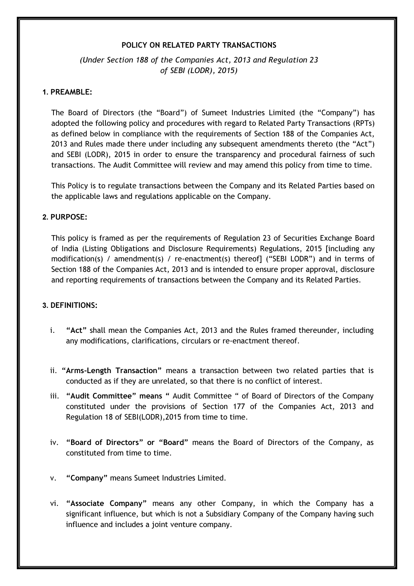### POLICY ON RELATED PARTY TRANSACTIONS

# (Under Section 188 of the Companies Act, 2013 and Regulation 23 of SEBI (LODR), 2015)

#### 1. PREAMBLE:

The Board of Directors (the "Board") of Sumeet Industries Limited (the "Company") has adopted the following policy and procedures with regard to Related Party Transactions (RPTs) as defined below in compliance with the requirements of Section 188 of the Companies Act, 2013 and Rules made there under including any subsequent amendments thereto (the "Act") and SEBI (LODR), 2015 in order to ensure the transparency and procedural fairness of such transactions. The Audit Committee will review and may amend this policy from time to time.

This Policy is to regulate transactions between the Company and its Related Parties based on the applicable laws and regulations applicable on the Company.

#### 2. PURPOSE:

This policy is framed as per the requirements of Regulation 23 of Securities Exchange Board of India (Listing Obligations and Disclosure Requirements) Regulations, 2015 [including any modification(s) / amendment(s) / re-enactment(s) thereof] ("SEBI LODR") and in terms of Section 188 of the Companies Act, 2013 and is intended to ensure proper approval, disclosure and reporting requirements of transactions between the Company and its Related Parties.

#### 3. DEFINITIONS:

- i. "Act" shall mean the Companies Act, 2013 and the Rules framed thereunder, including any modifications, clarifications, circulars or re-enactment thereof.
- ii. "Arms-Length Transaction" means a transaction between two related parties that is conducted as if they are unrelated, so that there is no conflict of interest.
- iii. "Audit Committee" means " Audit Committee " of Board of Directors of the Company constituted under the provisions of Section 177 of the Companies Act, 2013 and Regulation 18 of SEBI(LODR),2015 from time to time.
- iv. "Board of Directors" or "Board" means the Board of Directors of the Company, as constituted from time to time.
- v. "Company" means Sumeet Industries Limited.
- vi. "Associate Company" means any other Company, in which the Company has a significant influence, but which is not a Subsidiary Company of the Company having such influence and includes a joint venture company.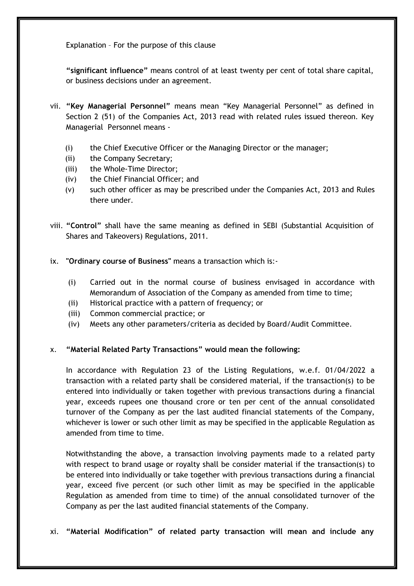Explanation – For the purpose of this clause

 "significant influence" means control of at least twenty per cent of total share capital, or business decisions under an agreement.

- vii. "Key Managerial Personnel" means mean "Key Managerial Personnel" as defined in Section 2 (51) of the Companies Act, 2013 read with related rules issued thereon. Key Managerial Personnel means -
	- (i) the Chief Executive Officer or the Managing Director or the manager;
	- (ii) the Company Secretary;
	- (iii) the Whole-Time Director;
	- (iv) the Chief Financial Officer; and
	- (v) such other officer as may be prescribed under the Companies Act, 2013 and Rules there under.
- viii. "Control" shall have the same meaning as defined in SEBI (Substantial Acquisition of Shares and Takeovers) Regulations, 2011.
- ix. "Ordinary course of Business" means a transaction which is:-
	- (i) Carried out in the normal course of business envisaged in accordance with Memorandum of Association of the Company as amended from time to time;
	- (ii) Historical practice with a pattern of frequency; or
	- (iii) Common commercial practice; or
	- (iv) Meets any other parameters/criteria as decided by Board/Audit Committee.

# x. "Material Related Party Transactions" would mean the following:

 In accordance with Regulation 23 of the Listing Regulations, w.e.f. 01/04/2022 a transaction with a related party shall be considered material, if the transaction(s) to be entered into individually or taken together with previous transactions during a financial year, exceeds rupees one thousand crore or ten per cent of the annual consolidated turnover of the Company as per the last audited financial statements of the Company, whichever is lower or such other limit as may be specified in the applicable Regulation as amended from time to time.

 Notwithstanding the above, a transaction involving payments made to a related party with respect to brand usage or royalty shall be consider material if the transaction(s) to be entered into individually or take together with previous transactions during a financial year, exceed five percent (or such other limit as may be specified in the applicable Regulation as amended from time to time) of the annual consolidated turnover of the Company as per the last audited financial statements of the Company.

xi. "Material Modification" of related party transaction will mean and include any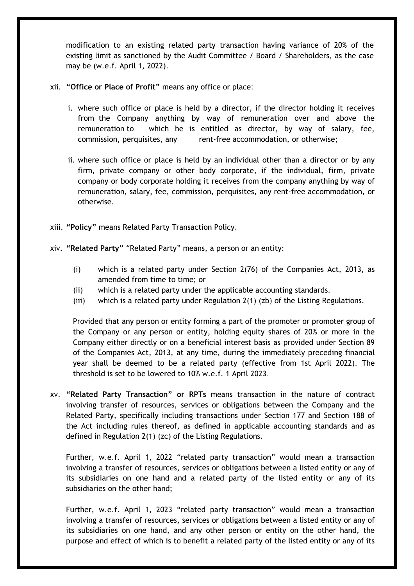modification to an existing related party transaction having variance of 20% of the existing limit as sanctioned by the Audit Committee / Board / Shareholders, as the case may be (w.e.f. April 1, 2022).

- xii. "Office or Place of Profit" means any office or place:
	- i. where such office or place is held by a director, if the director holding it receives from the Company anything by way of remuneration over and above the remuneration to which he is entitled as director, by way of salary, fee, commission, perquisites, any rent-free accommodation, or otherwise;
	- ii. where such office or place is held by an individual other than a director or by any firm, private company or other body corporate, if the individual, firm, private company or body corporate holding it receives from the company anything by way of remuneration, salary, fee, commission, perquisites, any rent-free accommodation, or otherwise.
- xiii. "Policy" means Related Party Transaction Policy.
- xiv. "Related Party" "Related Party" means, a person or an entity:
	- (i) which is a related party under Section 2(76) of the Companies Act, 2013, as amended from time to time; or
	- (ii) which is a related party under the applicable accounting standards.
	- (iii) which is a related party under Regulation 2(1) (zb) of the Listing Regulations.

Provided that any person or entity forming a part of the promoter or promoter group of the Company or any person or entity, holding equity shares of 20% or more in the Company either directly or on a beneficial interest basis as provided under Section 89 of the Companies Act, 2013, at any time, during the immediately preceding financial year shall be deemed to be a related party (effective from 1st April 2022). The threshold is set to be lowered to 10% w.e.f. 1 April 2023.

xv. "Related Party Transaction" or RPTs means transaction in the nature of contract involving transfer of resources, services or obligations between the Company and the Related Party, specifically including transactions under Section 177 and Section 188 of the Act including rules thereof, as defined in applicable accounting standards and as defined in Regulation 2(1) (zc) of the Listing Regulations.

 Further, w.e.f. April 1, 2022 "related party transaction" would mean a transaction involving a transfer of resources, services or obligations between a listed entity or any of its subsidiaries on one hand and a related party of the listed entity or any of its subsidiaries on the other hand;

 Further, w.e.f. April 1, 2023 "related party transaction" would mean a transaction involving a transfer of resources, services or obligations between a listed entity or any of its subsidiaries on one hand, and any other person or entity on the other hand, the purpose and effect of which is to benefit a related party of the listed entity or any of its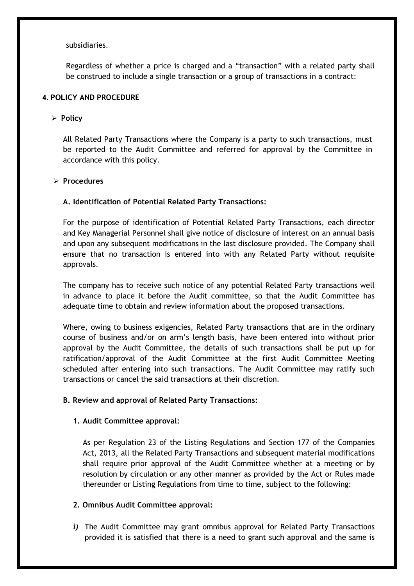### subsidiaries.

 Regardless of whether a price is charged and a "transaction" with a related party shall be construed to include a single transaction or a group of transactions in a contract:

## 4. POLICY AND PROCEDURE

### $\triangleright$  Policy

All Related Party Transactions where the Company is a party to such transactions, must be reported to the Audit Committee and referred for approval by the Committee in accordance with this policy.

### $\triangleright$  Procedures

### A. Identification of Potential Related Party Transactions:

For the purpose of identification of Potential Related Party Transactions, each director and Key Managerial Personnel shall give notice of disclosure of interest on an annual basis and upon any subsequent modifications in the last disclosure provided. The Company shall ensure that no transaction is entered into with any Related Party without requisite approvals.

The company has to receive such notice of any potential Related Party transactions well in advance to place it before the Audit committee, so that the Audit Committee has adequate time to obtain and review information about the proposed transactions.

Where, owing to business exigencies, Related Party transactions that are in the ordinary course of business and/or on arm's length basis, have been entered into without prior approval by the Audit Committee, the details of such transactions shall be put up for ratification/approval of the Audit Committee at the first Audit Committee Meeting scheduled after entering into such transactions. The Audit Committee may ratify such transactions or cancel the said transactions at their discretion.

# B. Review and approval of Related Party Transactions:

### 1. Audit Committee approval:

As per Regulation 23 of the Listing Regulations and Section 177 of the Companies Act, 2013, all the Related Party Transactions and subsequent material modifications shall require prior approval of the Audit Committee whether at a meeting or by resolution by circulation or any other manner as provided by the Act or Rules made thereunder or Listing Regulations from time to time, subject to the following:

### 2. Omnibus Audit Committee approval:

i) The Audit Committee may grant omnibus approval for Related Party Transactions provided it is satisfied that there is a need to grant such approval and the same is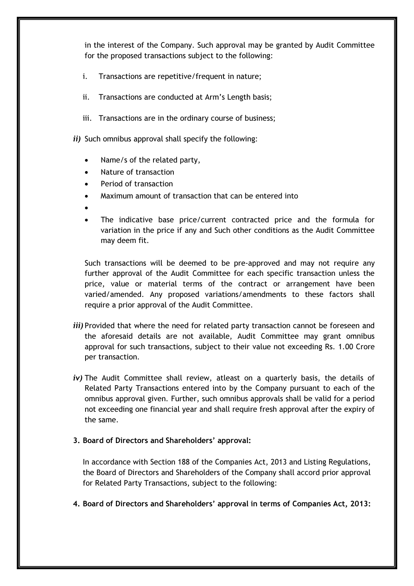in the interest of the Company. Such approval may be granted by Audit Committee for the proposed transactions subject to the following:

- i. Transactions are repetitive/frequent in nature;
- ii. Transactions are conducted at Arm's Length basis;
- iii. Transactions are in the ordinary course of business;
- ii) Such omnibus approval shall specify the following:
	- Name/s of the related party,
	- Nature of transaction
	- Period of transaction
	- Maximum amount of transaction that can be entered into
	- •
	- The indicative base price/current contracted price and the formula for variation in the price if any and Such other conditions as the Audit Committee may deem fit.

Such transactions will be deemed to be pre-approved and may not require any further approval of the Audit Committee for each specific transaction unless the price, value or material terms of the contract or arrangement have been varied/amended. Any proposed variations/amendments to these factors shall require a prior approval of the Audit Committee.

- *iii*) Provided that where the need for related party transaction cannot be foreseen and the aforesaid details are not available, Audit Committee may grant omnibus approval for such transactions, subject to their value not exceeding Rs. 1.00 Crore per transaction.
- iv) The Audit Committee shall review, atleast on a quarterly basis, the details of Related Party Transactions entered into by the Company pursuant to each of the omnibus approval given. Further, such omnibus approvals shall be valid for a period not exceeding one financial year and shall require fresh approval after the expiry of the same.
- 3. Board of Directors and Shareholders' approval:

In accordance with Section 188 of the Companies Act, 2013 and Listing Regulations, the Board of Directors and Shareholders of the Company shall accord prior approval for Related Party Transactions, subject to the following:

4. Board of Directors and Shareholders' approval in terms of Companies Act, 2013: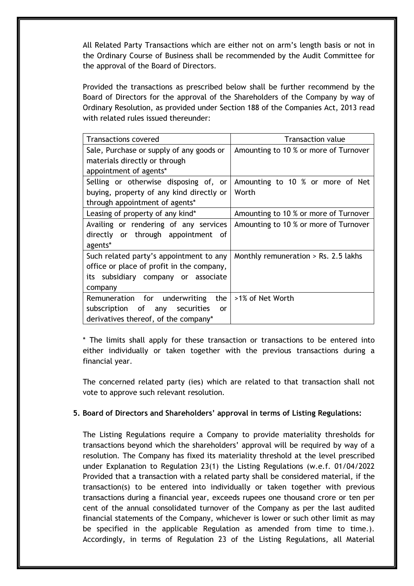All Related Party Transactions which are either not on arm's length basis or not in the Ordinary Course of Business shall be recommended by the Audit Committee for the approval of the Board of Directors.

Provided the transactions as prescribed below shall be further recommend by the Board of Directors for the approval of the Shareholders of the Company by way of Ordinary Resolution, as provided under Section 188 of the Companies Act, 2013 read with related rules issued thereunder:

| <b>Transactions covered</b>                | Transaction value                      |
|--------------------------------------------|----------------------------------------|
| Sale, Purchase or supply of any goods or   | Amounting to 10 % or more of Turnover  |
| materials directly or through              |                                        |
| appointment of agents*                     |                                        |
| Selling or otherwise disposing of, or      | Amounting to 10 % or more of Net       |
| buying, property of any kind directly or   | Worth                                  |
| through appointment of agents*             |                                        |
| Leasing of property of any kind*           | Amounting to 10 % or more of Turnover  |
| Availing or rendering of any services      | Amounting to 10 % or more of Turnover  |
| directly or through appointment<br>.of     |                                        |
| agents*                                    |                                        |
| Such related party's appointment to any    | Monthly remuneration $>$ Rs. 2.5 lakhs |
| office or place of profit in the company,  |                                        |
| its subsidiary company or associate        |                                        |
| company                                    |                                        |
| Remuneration for underwriting<br>the       | >1% of Net Worth                       |
| subscription of<br>any<br>securities<br>or |                                        |
| derivatives thereof, of the company*       |                                        |

\* The limits shall apply for these transaction or transactions to be entered into either individually or taken together with the previous transactions during a financial year.

The concerned related party (ies) which are related to that transaction shall not vote to approve such relevant resolution.

### 5. Board of Directors and Shareholders' approval in terms of Listing Regulations:

The Listing Regulations require a Company to provide materiality thresholds for transactions beyond which the shareholders' approval will be required by way of a resolution. The Company has fixed its materiality threshold at the level prescribed under Explanation to Regulation 23(1) the Listing Regulations (w.e.f. 01/04/2022 Provided that a transaction with a related party shall be considered material, if the transaction(s) to be entered into individually or taken together with previous transactions during a financial year, exceeds rupees one thousand crore or ten per cent of the annual consolidated turnover of the Company as per the last audited financial statements of the Company, whichever is lower or such other limit as may be specified in the applicable Regulation as amended from time to time.). Accordingly, in terms of Regulation 23 of the Listing Regulations, all Material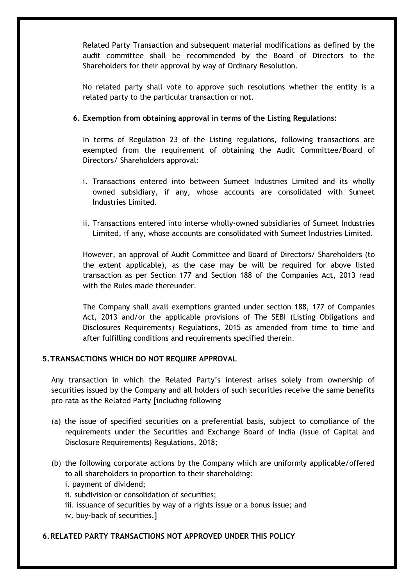Related Party Transaction and subsequent material modifications as defined by the audit committee shall be recommended by the Board of Directors to the Shareholders for their approval by way of Ordinary Resolution.

No related party shall vote to approve such resolutions whether the entity is a related party to the particular transaction or not.

# 6. Exemption from obtaining approval in terms of the Listing Regulations:

In terms of Regulation 23 of the Listing regulations, following transactions are exempted from the requirement of obtaining the Audit Committee/Board of Directors/ Shareholders approval:

- i. Transactions entered into between Sumeet Industries Limited and its wholly owned subsidiary, if any, whose accounts are consolidated with Sumeet Industries Limited.
- ii. Transactions entered into interse wholly-owned subsidiaries of Sumeet Industries Limited, if any, whose accounts are consolidated with Sumeet Industries Limited.

However, an approval of Audit Committee and Board of Directors/ Shareholders (to the extent applicable), as the case may be will be required for above listed transaction as per Section 177 and Section 188 of the Companies Act, 2013 read with the Rules made thereunder.

The Company shall avail exemptions granted under section 188, 177 of Companies Act, 2013 and/or the applicable provisions of The SEBI (Listing Obligations and Disclosures Requirements) Regulations, 2015 as amended from time to time and after fulfilling conditions and requirements specified therein.

# 5. TRANSACTIONS WHICH DO NOT REQUIRE APPROVAL

Any transaction in which the Related Party's interest arises solely from ownership of securities issued by the Company and all holders of such securities receive the same benefits pro rata as the Related Party [including following

- (a) the issue of specified securities on a preferential basis, subject to compliance of the requirements under the Securities and Exchange Board of India (Issue of Capital and Disclosure Requirements) Regulations, 2018;
- (b) the following corporate actions by the Company which are uniformly applicable/offered to all shareholders in proportion to their shareholding:

i. payment of dividend;

ii. subdivision or consolidation of securities;

iii. issuance of securities by way of a rights issue or a bonus issue; and

iv. buy-back of securities.]

# 6. RELATED PARTY TRANSACTIONS NOT APPROVED UNDER THIS POLICY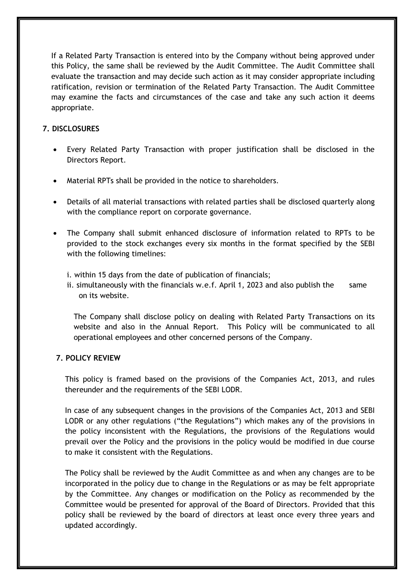If a Related Party Transaction is entered into by the Company without being approved under this Policy, the same shall be reviewed by the Audit Committee. The Audit Committee shall evaluate the transaction and may decide such action as it may consider appropriate including ratification, revision or termination of the Related Party Transaction. The Audit Committee may examine the facts and circumstances of the case and take any such action it deems appropriate.

### 7. DISCLOSURES

- Every Related Party Transaction with proper justification shall be disclosed in the Directors Report.
- Material RPTs shall be provided in the notice to shareholders.
- Details of all material transactions with related parties shall be disclosed quarterly along with the compliance report on corporate governance.
- The Company shall submit enhanced disclosure of information related to RPTs to be provided to the stock exchanges every six months in the format specified by the SEBI with the following timelines:
	- i. within 15 days from the date of publication of financials;
	- ii. simultaneously with the financials w.e.f. April 1, 2023 and also publish the same on its website.

The Company shall disclose policy on dealing with Related Party Transactions on its website and also in the Annual Report. This Policy will be communicated to all operational employees and other concerned persons of the Company.

### 7. POLICY REVIEW

This policy is framed based on the provisions of the Companies Act, 2013, and rules thereunder and the requirements of the SEBI LODR.

In case of any subsequent changes in the provisions of the Companies Act, 2013 and SEBI LODR or any other regulations ("the Regulations") which makes any of the provisions in the policy inconsistent with the Regulations, the provisions of the Regulations would prevail over the Policy and the provisions in the policy would be modified in due course to make it consistent with the Regulations.

The Policy shall be reviewed by the Audit Committee as and when any changes are to be incorporated in the policy due to change in the Regulations or as may be felt appropriate by the Committee. Any changes or modification on the Policy as recommended by the Committee would be presented for approval of the Board of Directors. Provided that this policy shall be reviewed by the board of directors at least once every three years and updated accordingly.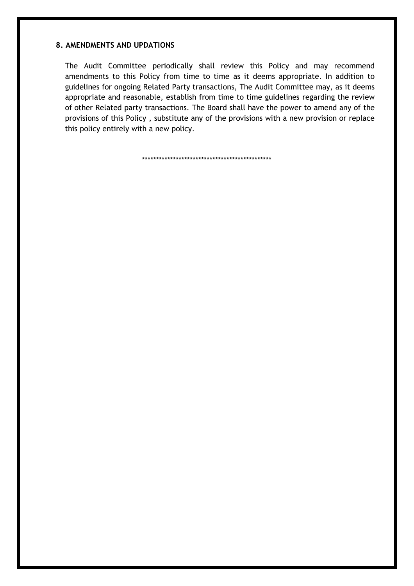### 8. AMENDMENTS AND UPDATIONS

The Audit Committee periodically shall review this Policy and may recommend amendments to this Policy from time to time as it deems appropriate. In addition to guidelines for ongoing Related Party transactions, The Audit Committee may, as it deems appropriate and reasonable, establish from time to time guidelines regarding the review of other Related party transactions. The Board shall have the power to amend any of the provisions of this Policy , substitute any of the provisions with a new provision or replace this policy entirely with a new policy.

\*\*\*\*\*\*\*\*\*\*\*\*\*\*\*\*\*\*\*\*\*\*\*\*\*\*\*\*\*\*\*\*\*\*\*\*\*\*\*\*\*\*\*\*\*\*